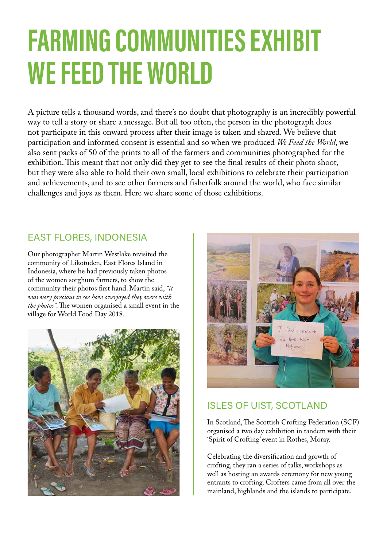# FARMING COMMUNITIES EXHIBIT WE FEED THE WORLD

A picture tells a thousand words, and there's no doubt that photography is an incredibly powerful way to tell a story or share a message. But all too often, the person in the photograph does not participate in this onward process after their image is taken and shared. We believe that participation and informed consent is essential and so when we produced *We Feed the World*, we also sent packs of 50 of the prints to all of the farmers and communities photographed for the exhibition. This meant that not only did they get to see the final results of their photo shoot, but they were also able to hold their own small, local exhibitions to celebrate their participation and achievements, and to see other farmers and fisherfolk around the world, who face similar challenges and joys as them. Here we share some of those exhibitions.

# EAST FLORES, INDONESIA

Our photographer Martin Westlake revisited the community of Likotuden, East Flores Island in Indonesia, where he had previously taken photos of the women sorghum farmers, to show the community their photos first hand. Martin said, *"it was very precious to see how overjoyed they were with the photos"*. The women organised a small event in the village for World Food Day 2018.





# ISLES OF UIST, SCOTLAND

In Scotland, The Scottish Crofting Federation (SCF) organised a two day exhibition in tandem with their 'Spirit of Crofting' event in Rothes, Moray.

Celebrating the diversification and growth of crofting, they ran a series of talks, workshops as well as hosting an awards ceremony for new young entrants to crofting. Crofters came from all over the mainland, highlands and the islands to participate.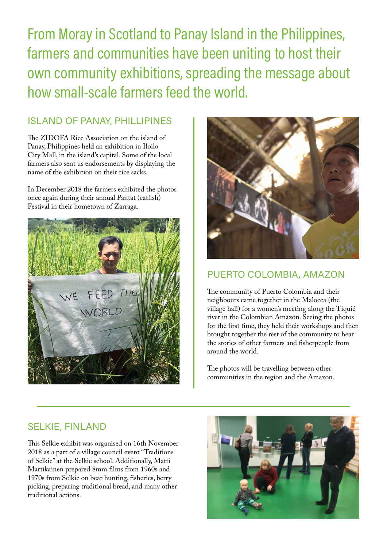From Moray in Scotland to Panay Island in the Philippines, farmers and communities have been uniting to host their own community exhibitions, spreading the message about how small-scale farmers feed the world.

### SELKIE, FINLAND

This Selkie exhibit was organised on 16th November 2018 as a part of a village council event "Traditions of Selkie" at the Selkie school. Additionally, Matti Martikainen prepared 8mm films from 1960s and 1970s from Selkie on bear hunting, fisheries, berry picking, preparing traditional bread, and many other traditional actions.



# PUERTO COLOMBIA, AMAZON

The community of Puerto Colombia and their neighbours came together in the Malocca (the village hall) for a women's meeting along the Tiquié river in the Colombian Amazon. Seeing the photos for the first time, they held their workshops and then brought together the rest of the community to hear the stories of other farmers and fisherpeople from around the world.

The photos will be travelling between other communities in the region and the Amazon.

# ISLAND OF PANAY, PHILLIPINES

The ZIDOFA Rice Association on the island of Panay, Philippines held an exhibition in Iloilo City Mall, in the island's capital. Some of the local farmers also sent us endorsements by displaying the name of the exhibition on their rice sacks.

In December 2018 the farmers exhibited the photos once again during their annual Pantat (catfish) Festival in their hometown of Zarraga.



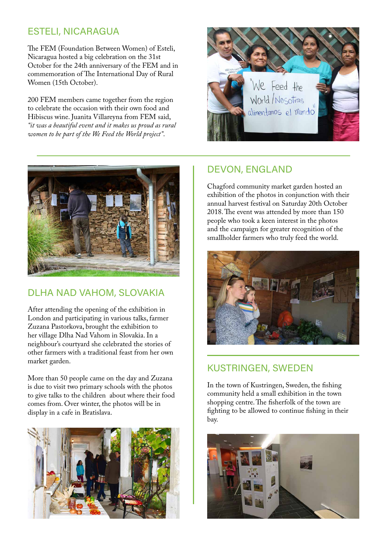#### DLHA NAD VAHOM, SLOVAKIA

After attending the opening of the exhibition in London and participating in various talks, farmer Zuzana Pastorkova, brought the exhibition to her village Dlha Nad Vahom in Slovakia. In a neighbour's courtyard she celebrated the stories of other farmers with a traditional feast from her own market garden.

More than 50 people came on the day and Zuzana is due to visit two primary schools with the photos to give talks to the children about where their food comes from. Over winter, the photos will be in display in a cafe in Bratislava.



# ESTELI, NICARAGUA

The FEM (Foundation Between Women) of Esteli, Nicaragua hosted a big celebration on the 31st October for the 24th anniversary of the FEM and in commemoration of The International Day of Rural Women (15th October).

200 FEM members came together from the region to celebrate the occasion with their own food and Hibiscus wine. Juanita Villareyna from FEM said, *"it was a beautiful event and it makes us proud as rural women to be part of the We Feed the World project"*.





# DEVON, ENGLAND

Chagford community market garden hosted an exhibition of the photos in conjunction with their annual harvest festival on Saturday 20th October 2018. The event was attended by more than 150 people who took a keen interest in the photos and the campaign for greater recognition of the smallholder farmers who truly feed the world.



# KUSTRINGEN, SWEDEN

In the town of Kustringen, Sweden, the fishing community held a small exhibition in the town shopping centre. The fisherfolk of the town are fighting to be allowed to continue fishing in their bay.

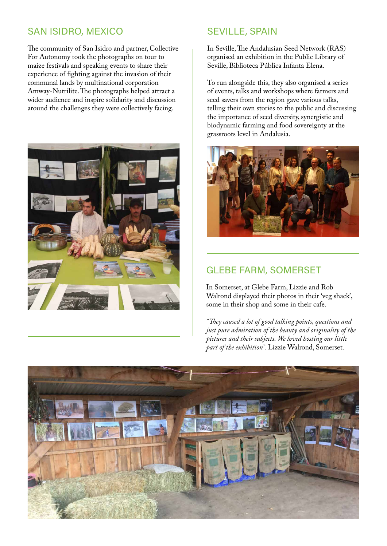# SAN ISIDRO, MEXICO

The community of San Isidro and partner, Collective For Autonomy took the photographs on tour to maize festivals and speaking events to share their experience of fighting against the invasion of their communal lands by multinational corporation Amway-Nutrilite. The photographs helped attract a wider audience and inspire solidarity and discussion around the challenges they were collectively facing.



# SEVILLE, SPAIN

In Seville, The Andalusian Seed Network (RAS) organised an exhibition in the Public Library of Seville, Biblioteca Pública Infanta Elena.

To run alongside this, they also organised a series of events, talks and workshops where farmers and seed savers from the region gave various talks, telling their own stories to the public and discussing the importance of seed diversity, synergistic and biodynamic farming and food sovereignty at the grassroots level in Andalusia.



# GLEBE FARM, SOMERSET

In Somerset, at Glebe Farm, Lizzie and Rob



Walrond displayed their photos in their 'veg shack', some in their shop and some in their cafe.

*"They caused a lot of good talking points, questions and just pure admiration of the beauty and originality of the pictures and their subjects. We loved hosting our little part of the exhibition"*. Lizzie Walrond, Somerset.